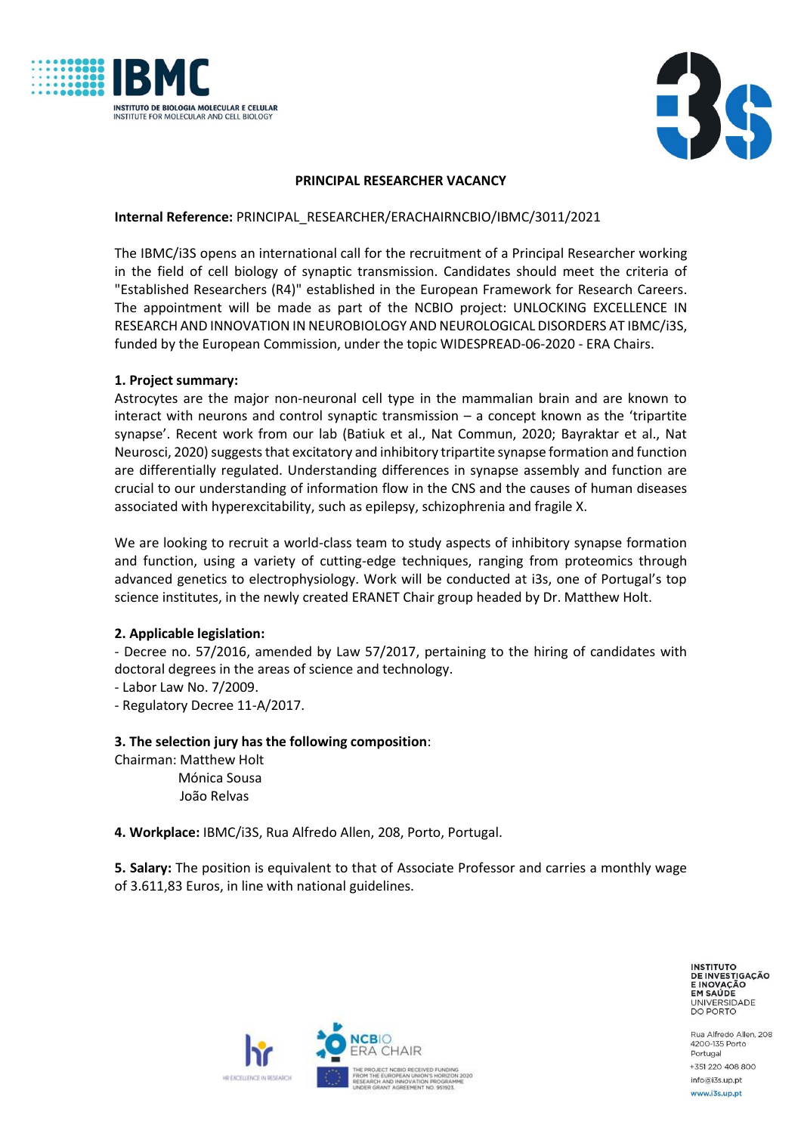



### **PRINCIPAL RESEARCHER VACANCY**

### **Internal Reference:** PRINCIPAL\_RESEARCHER/ERACHAIRNCBIO/IBMC/3011/2021

The IBMC/i3S opens an international call for the recruitment of a Principal Researcher working in the field of cell biology of synaptic transmission. Candidates should meet the criteria of "Established Researchers (R4)" established in the European Framework for Research Careers. The appointment will be made as part of the NCBIO project: UNLOCKING EXCELLENCE IN RESEARCH AND INNOVATION IN NEUROBIOLOGY AND NEUROLOGICAL DISORDERS AT IBMC/i3S, funded by the European Commission, under the topic WIDESPREAD-06-2020 - ERA Chairs.

#### **1. Project summary:**

Astrocytes are the major non-neuronal cell type in the mammalian brain and are known to interact with neurons and control synaptic transmission – a concept known as the 'tripartite synapse'. Recent work from our lab (Batiuk et al., Nat Commun, 2020; Bayraktar et al., Nat Neurosci, 2020) suggests that excitatory and inhibitory tripartite synapse formation and function are differentially regulated. Understanding differences in synapse assembly and function are crucial to our understanding of information flow in the CNS and the causes of human diseases associated with hyperexcitability, such as epilepsy, schizophrenia and fragile X.

We are looking to recruit a world-class team to study aspects of inhibitory synapse formation and function, using a variety of cutting-edge techniques, ranging from proteomics through advanced genetics to electrophysiology. Work will be conducted at i3s, one of Portugal's top science institutes, in the newly created ERANET Chair group headed by Dr. Matthew Holt.

# **2. Applicable legislation:**

- Decree no. 57/2016, amended by Law 57/2017, pertaining to the hiring of candidates with doctoral degrees in the areas of science and technology.

- Labor Law No. 7/2009.

- Regulatory Decree 11-A/2017.

# **3. The selection jury has the following composition**:

Chairman: Matthew Holt Mónica Sousa João Relvas

**4. Workplace:** IBMC/i3S, Rua Alfredo Allen, 208, Porto, Portugal.

**5. Salary:** The position is equivalent to that of Associate Professor and carries a monthly wage of 3.611,83 Euros, in line with national guidelines.

> **INSTITUTO** DE INVESTIGAÇÃO EM SAÚDE UNIVERSIDADE<br>DO PORTO

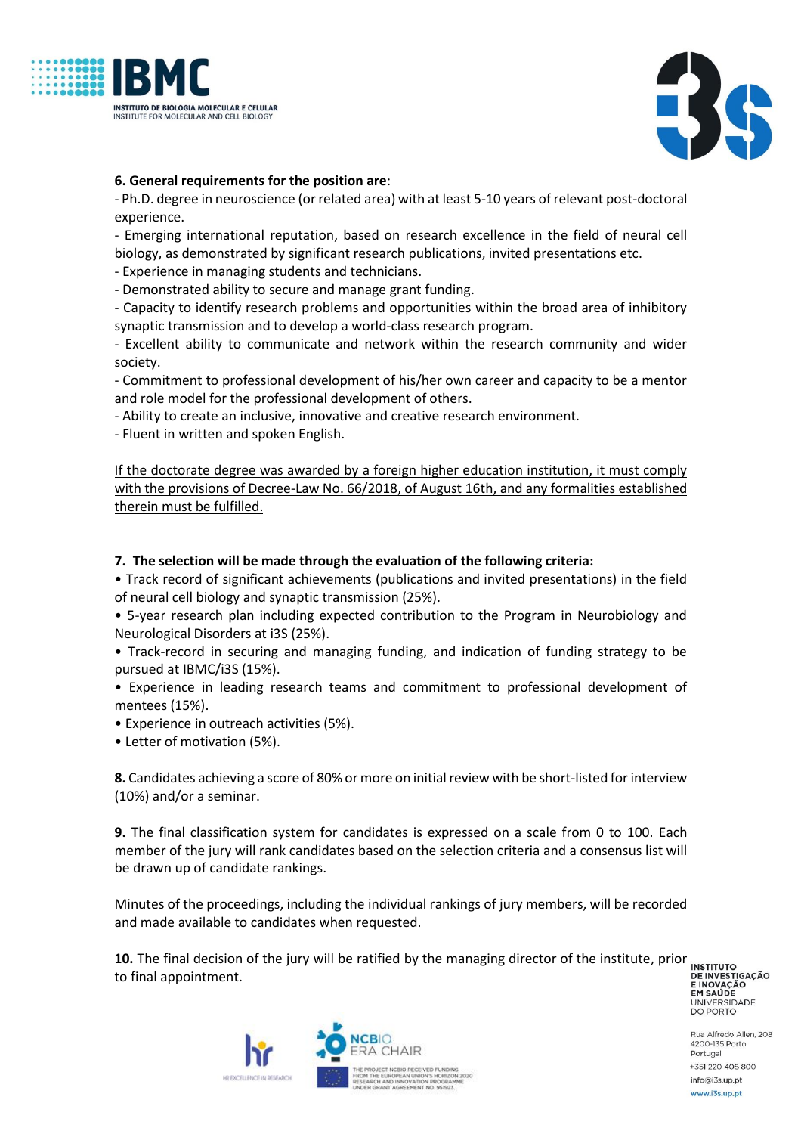



# **6. General requirements for the position are**:

- Ph.D. degree in neuroscience (or related area) with at least 5-10 years of relevant post-doctoral experience.

- Emerging international reputation, based on research excellence in the field of neural cell biology, as demonstrated by significant research publications, invited presentations etc.

- Experience in managing students and technicians.

- Demonstrated ability to secure and manage grant funding.

- Capacity to identify research problems and opportunities within the broad area of inhibitory synaptic transmission and to develop a world-class research program.

- Excellent ability to communicate and network within the research community and wider society.

- Commitment to professional development of his/her own career and capacity to be a mentor and role model for the professional development of others.

- Ability to create an inclusive, innovative and creative research environment.

- Fluent in written and spoken English.

If the doctorate degree was awarded by a foreign higher education institution, it must comply with the provisions of Decree-Law No. 66/2018, of August 16th, and any formalities established therein must be fulfilled.

### **7. The selection will be made through the evaluation of the following criteria:**

• Track record of significant achievements (publications and invited presentations) in the field of neural cell biology and synaptic transmission (25%).

• 5-year research plan including expected contribution to the Program in Neurobiology and Neurological Disorders at i3S (25%).

• Track-record in securing and managing funding, and indication of funding strategy to be pursued at IBMC/i3S (15%).

• Experience in leading research teams and commitment to professional development of mentees (15%).

• Experience in outreach activities (5%).

• Letter of motivation (5%).

**8.** Candidates achieving a score of 80% or more on initial review with be short-listed for interview (10%) and/or a seminar.

**9.** The final classification system for candidates is expressed on a scale from 0 to 100. Each member of the jury will rank candidates based on the selection criteria and a consensus list will be drawn up of candidate rankings.

Minutes of the proceedings, including the individual rankings of jury members, will be recorded and made available to candidates when requested.

**10.** The final decision of the jury will be ratified by the managing director of the institute, prior **INSTITUTO** to final appointment.

DE INVESTIGAÇÃO **ENOVAÇÃO<br>EM SAÚDE<br>UNIVERSIDADE<br>DO PORTO** 

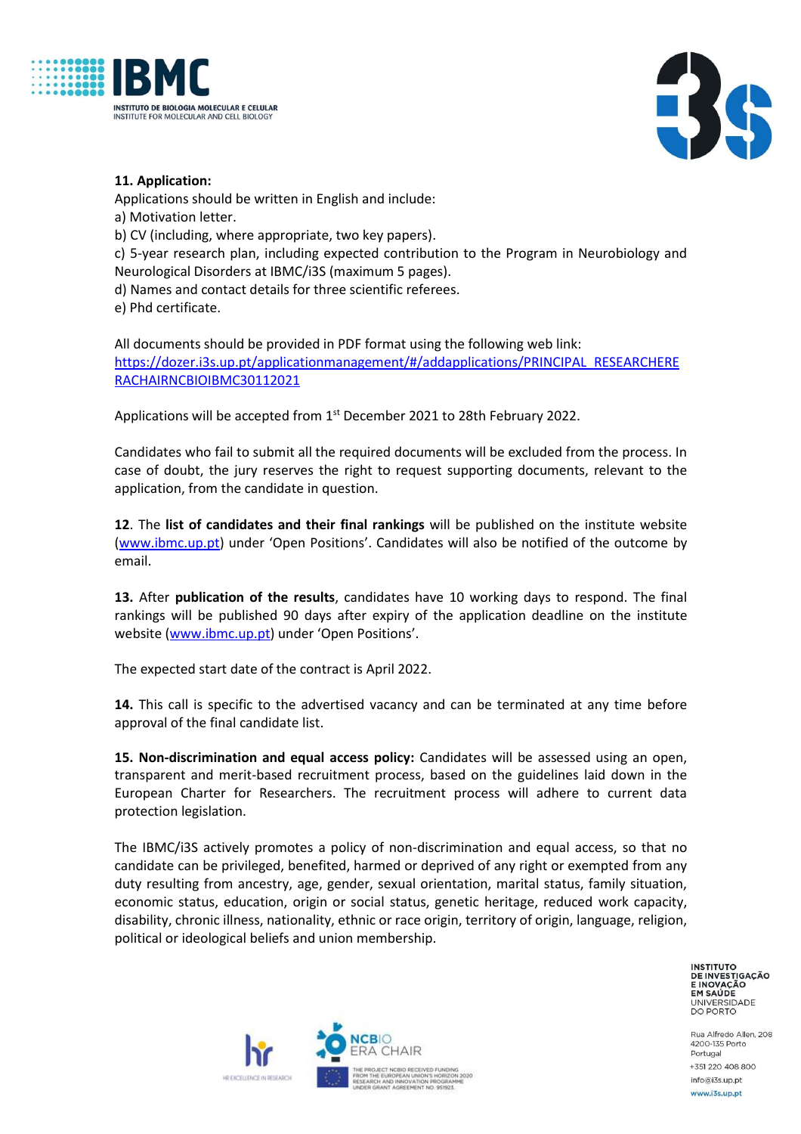



# **11. Application:**

Applications should be written in English and include:

a) Motivation letter.

b) CV (including, where appropriate, two key papers).

c) 5-year research plan, including expected contribution to the Program in Neurobiology and Neurological Disorders at IBMC/i3S (maximum 5 pages).

d) Names and contact details for three scientific referees.

e) Phd certificate.

All documents should be provided in PDF format using the following web link: [https://dozer.i3s.up.pt/applicationmanagement/#/addapplications/PRINCIPAL\\_RESEARCHERE](https://dozer.i3s.up.pt/applicationmanagement/#/addapplications/PRINCIPAL_RESEARCHERERACHAIRNCBIOIBMC30112021) [RACHAIRNCBIOIBMC30112021](https://dozer.i3s.up.pt/applicationmanagement/#/addapplications/PRINCIPAL_RESEARCHERERACHAIRNCBIOIBMC30112021)

Applications will be accepted from  $1<sup>st</sup>$  December 2021 to 28th February 2022.

Candidates who fail to submit all the required documents will be excluded from the process. In case of doubt, the jury reserves the right to request supporting documents, relevant to the application, from the candidate in question.

**12**. The **list of candidates and their final rankings** will be published on the institute website [\(www.ibmc.up.pt](http://www.ibmc.up.pt/)) under 'Open Positions'. Candidates will also be notified of the outcome by email.

**13.** After **publication of the results**, candidates have 10 working days to respond. The final rankings will be published 90 days after expiry of the application deadline on the institute website [\(www.ibmc.up.pt\)](http://www.ibmc.up.pt/) under 'Open Positions'.

The expected start date of the contract is April 2022.

**14.** This call is specific to the advertised vacancy and can be terminated at any time before approval of the final candidate list.

**15. Non-discrimination and equal access policy:** Candidates will be assessed using an open, transparent and merit-based recruitment process, based on the guidelines laid down in the European Charter for Researchers. The recruitment process will adhere to current data protection legislation.

The IBMC/i3S actively promotes a policy of non-discrimination and equal access, so that no candidate can be privileged, benefited, harmed or deprived of any right or exempted from any duty resulting from ancestry, age, gender, sexual orientation, marital status, family situation, economic status, education, origin or social status, genetic heritage, reduced work capacity, disability, chronic illness, nationality, ethnic or race origin, territory of origin, language, religion, political or ideological beliefs and union membership.

> **INSTITUTO** DE INVESTIGAÇÃO EM SAÚDE UNIVERSIDADE<br>DO PORTO